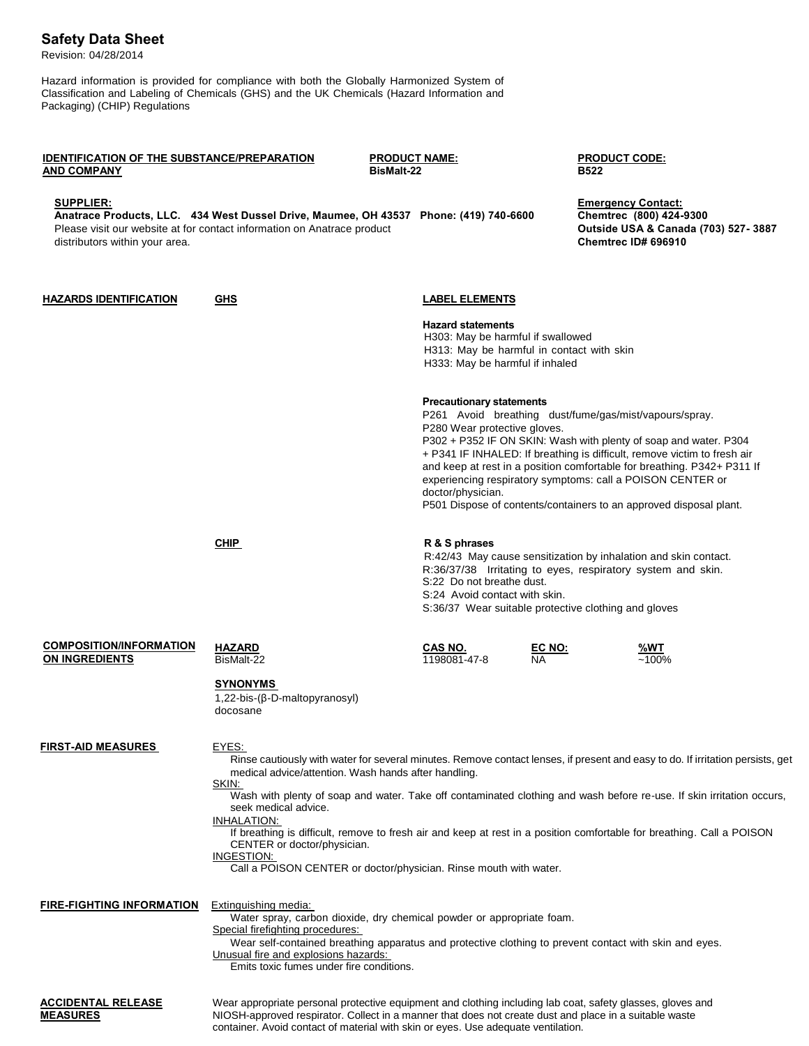## **Safety Data Sheet**

Revision: 04/28/2014

Hazard information is provided for compliance with both the Globally Harmonized System of Classification and Labeling of Chemicals (GHS) and the UK Chemicals (Hazard Information and Packaging) (CHIP) Regulations

| IDENTIFICATION OF THE SUBSTANCE/PREPARATION<br><b>AND COMPANY</b> |                                                                                                                                                                                                                                                                                                                                                                                                                                                                                                                                                                                | <b>PRODUCT NAME:</b><br><b>BisMalt-22</b>                                                                                                                              |                                                                                                                                                                                                                                                      | <b>PRODUCT CODE:</b><br><b>B522</b>                                                                                                                                                                                                                                                                                                                                                                                   |  |
|-------------------------------------------------------------------|--------------------------------------------------------------------------------------------------------------------------------------------------------------------------------------------------------------------------------------------------------------------------------------------------------------------------------------------------------------------------------------------------------------------------------------------------------------------------------------------------------------------------------------------------------------------------------|------------------------------------------------------------------------------------------------------------------------------------------------------------------------|------------------------------------------------------------------------------------------------------------------------------------------------------------------------------------------------------------------------------------------------------|-----------------------------------------------------------------------------------------------------------------------------------------------------------------------------------------------------------------------------------------------------------------------------------------------------------------------------------------------------------------------------------------------------------------------|--|
| <b>SUPPLIER:</b><br>distributors within your area.                | Anatrace Products, LLC. 434 West Dussel Drive, Maumee, OH 43537 Phone: (419) 740-6600<br>Please visit our website at for contact information on Anatrace product                                                                                                                                                                                                                                                                                                                                                                                                               |                                                                                                                                                                        |                                                                                                                                                                                                                                                      | <b>Emergency Contact:</b><br>Chemtrec (800) 424-9300<br>Outside USA & Canada (703) 527-3887<br><b>Chemtrec ID# 696910</b>                                                                                                                                                                                                                                                                                             |  |
| <b>HAZARDS IDENTIFICATION</b>                                     | <b>GHS</b>                                                                                                                                                                                                                                                                                                                                                                                                                                                                                                                                                                     | <b>LABEL ELEMENTS</b><br><b>Hazard statements</b><br>H303: May be harmful if swallowed<br>H313: May be harmful in contact with skin<br>H333: May be harmful if inhaled |                                                                                                                                                                                                                                                      |                                                                                                                                                                                                                                                                                                                                                                                                                       |  |
|                                                                   |                                                                                                                                                                                                                                                                                                                                                                                                                                                                                                                                                                                | <b>Precautionary statements</b><br>P280 Wear protective gloves.<br>doctor/physician.                                                                                   |                                                                                                                                                                                                                                                      | P261 Avoid breathing dust/fume/gas/mist/vapours/spray.<br>P302 + P352 IF ON SKIN: Wash with plenty of soap and water. P304<br>+ P341 IF INHALED: If breathing is difficult, remove victim to fresh air<br>and keep at rest in a position comfortable for breathing. P342+ P311 If<br>experiencing respiratory symptoms: call a POISON CENTER or<br>P501 Dispose of contents/containers to an approved disposal plant. |  |
|                                                                   | <b>CHIP</b>                                                                                                                                                                                                                                                                                                                                                                                                                                                                                                                                                                    | R & S phrases                                                                                                                                                          | R:42/43 May cause sensitization by inhalation and skin contact.<br>R:36/37/38 Irritating to eyes, respiratory system and skin.<br>S:22 Do not breathe dust.<br>S:24 Avoid contact with skin.<br>S:36/37 Wear suitable protective clothing and gloves |                                                                                                                                                                                                                                                                                                                                                                                                                       |  |
| <b>COMPOSITION/INFORMATION</b><br><b>ON INGREDIENTS</b>           | <b>HAZARD</b><br>BisMalt-22<br><b>SYNONYMS</b>                                                                                                                                                                                                                                                                                                                                                                                                                                                                                                                                 | CAS NO.<br>1198081-47-8                                                                                                                                                | <u>EC NO:</u><br>NA.                                                                                                                                                                                                                                 | %WT<br>$~100\%$                                                                                                                                                                                                                                                                                                                                                                                                       |  |
| <b>FIRST-AID MEASURES</b>                                         | 1,22-bis-(β-D-maltopyranosyl)<br>docosane<br>EYES:<br>Rinse cautiously with water for several minutes. Remove contact lenses, if present and easy to do. If irritation persists, get<br>medical advice/attention. Wash hands after handling.<br>SKIN:<br>Wash with plenty of soap and water. Take off contaminated clothing and wash before re-use. If skin irritation occurs,<br>seek medical advice.<br>INHALATION:<br>If breathing is difficult, remove to fresh air and keep at rest in a position comfortable for breathing. Call a POISON<br>CENTER or doctor/physician. |                                                                                                                                                                        |                                                                                                                                                                                                                                                      |                                                                                                                                                                                                                                                                                                                                                                                                                       |  |
| FIRE-FIGHTING INFORMATION                                         | INGESTION:<br>Call a POISON CENTER or doctor/physician. Rinse mouth with water.<br>Extinguishing media:<br>Water spray, carbon dioxide, dry chemical powder or appropriate foam.<br>Special firefighting procedures:<br>Wear self-contained breathing apparatus and protective clothing to prevent contact with skin and eyes.<br>Unusual fire and explosions hazards:<br>Emits toxic fumes under fire conditions.                                                                                                                                                             |                                                                                                                                                                        |                                                                                                                                                                                                                                                      |                                                                                                                                                                                                                                                                                                                                                                                                                       |  |
| ACCIDENTAL RELEASE                                                | Wear appropriate personal protective equipment and clothing including lab coat, safety glasses, gloves and                                                                                                                                                                                                                                                                                                                                                                                                                                                                     |                                                                                                                                                                        |                                                                                                                                                                                                                                                      |                                                                                                                                                                                                                                                                                                                                                                                                                       |  |

**MEASURES** NIOSH-approved respirator. Collect in a manner that does not create dust and place in a suitable waste container. Avoid contact of material with skin or eyes. Use adequate ventilation.